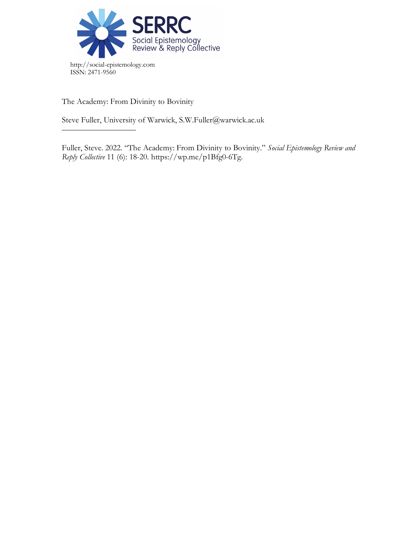

The Academy: From Divinity to Bovinity

––––––––––––––––––

Steve Fuller, University of Warwick, S.W.Fuller@warwick.ac.uk

Fuller, Steve. 2022. "The Academy: From Divinity to Bovinity." *Social Epistemology Review and Reply Collective* 11 (6): 18-20. https://wp.me/p1Bfg0-6Tg.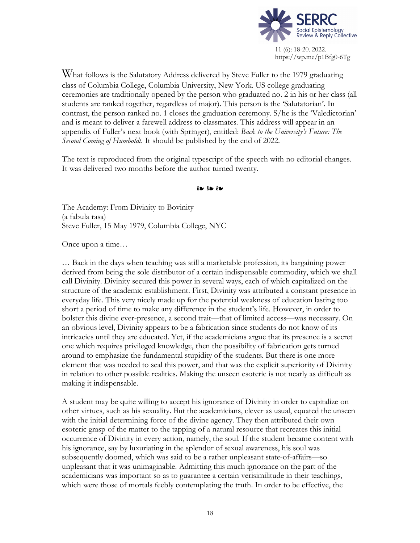

What follows is the Salutatory Address delivered by Steve Fuller to the 1979 graduating class of Columbia College, Columbia University, New York. US college graduating ceremonies are traditionally opened by the person who graduated no. 2 in his or her class (all students are ranked together, regardless of major). This person is the 'Salutatorian'. In contrast, the person ranked no. 1 closes the graduation ceremony. S/he is the 'Valedictorian' and is meant to deliver a farewell address to classmates. This address will appear in an appendix of Fuller's next book (with Springer), entitled: *Back to the University's Future: The Second Coming of Humboldt.* It should be published by the end of 2022.

The text is reproduced from the original typescript of the speech with no editorial changes. It was delivered two months before the author turned twenty.

❧ ❧ ❧

The Academy: From Divinity to Bovinity (a fabula rasa) Steve Fuller, 15 May 1979, Columbia College, NYC

Once upon a time…

… Back in the days when teaching was still a marketable profession, its bargaining power derived from being the sole distributor of a certain indispensable commodity, which we shall call Divinity. Divinity secured this power in several ways, each of which capitalized on the structure of the academic establishment. First, Divinity was attributed a constant presence in everyday life. This very nicely made up for the potential weakness of education lasting too short a period of time to make any difference in the student's life. However, in order to bolster this divine ever-presence, a second trait—that of limited access—was necessary. On an obvious level, Divinity appears to be a fabrication since students do not know of its intricacies until they are educated. Yet, if the academicians argue that its presence is a secret one which requires privileged knowledge, then the possibility of fabrication gets turned around to emphasize the fundamental stupidity of the students. But there is one more element that was needed to seal this power, and that was the explicit superiority of Divinity in relation to other possible realities. Making the unseen esoteric is not nearly as difficult as making it indispensable.

A student may be quite willing to accept his ignorance of Divinity in order to capitalize on other virtues, such as his sexuality. But the academicians, clever as usual, equated the unseen with the initial determining force of the divine agency. They then attributed their own esoteric grasp of the matter to the tapping of a natural resource that recreates this initial occurrence of Divinity in every action, namely, the soul. If the student became content with his ignorance, say by luxuriating in the splendor of sexual awareness, his soul was subsequently doomed, which was said to be a rather unpleasant state-of-affairs—so unpleasant that it was unimaginable. Admitting this much ignorance on the part of the academicians was important so as to guarantee a certain verisimilitude in their teachings, which were those of mortals feebly contemplating the truth. In order to be effective, the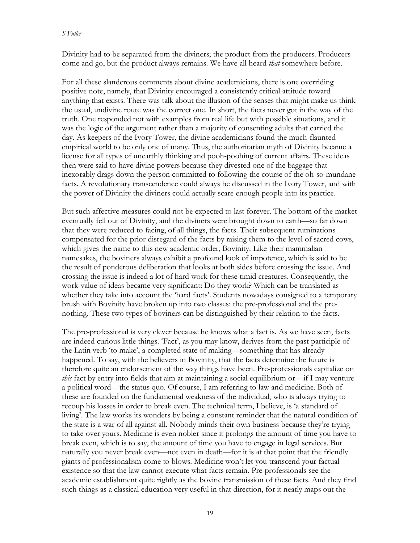Divinity had to be separated from the diviners; the product from the producers. Producers come and go, but the product always remains. We have all heard *that* somewhere before.

For all these slanderous comments about divine academicians, there is one overriding positive note, namely, that Divinity encouraged a consistently critical attitude toward anything that exists. There was talk about the illusion of the senses that might make us think the usual, undivine route was the correct one. In short, the facts never got in the way of the truth. One responded not with examples from real life but with possible situations, and it was the logic of the argument rather than a majority of consenting adults that carried the day. As keepers of the Ivory Tower, the divine academicians found the much-flaunted empirical world to be only one of many. Thus, the authoritarian myth of Divinity became a license for all types of unearthly thinking and pooh-poohing of current affairs. These ideas then were said to have divine powers because they divested one of the baggage that inexorably drags down the person committed to following the course of the oh-so-mundane facts. A revolutionary transcendence could always be discussed in the Ivory Tower, and with the power of Divinity the diviners could actually scare enough people into its practice.

But such affective measures could not be expected to last forever. The bottom of the market eventually fell out of Divinity, and the diviners were brought down to earth—so far down that they were reduced to facing, of all things, the facts. Their subsequent ruminations compensated for the prior disregard of the facts by raising them to the level of sacred cows, which gives the name to this new academic order, Bovinity. Like their mammalian namesakes, the boviners always exhibit a profound look of impotence, which is said to be the result of ponderous deliberation that looks at both sides before crossing the issue. And crossing the issue is indeed a lot of hard work for these timid creatures. Consequently, the work-value of ideas became very significant: Do they work? Which can be translated as whether they take into account the 'hard facts'. Students nowadays consigned to a temporary brush with Bovinity have broken up into two classes: the pre-professional and the prenothing. These two types of boviners can be distinguished by their relation to the facts.

The pre-professional is very clever because he knows what a fact is. As we have seen, facts are indeed curious little things. 'Fact', as you may know, derives from the past participle of the Latin verb 'to make', a completed state of making—something that has already happened. To say, with the believers in Bovinity, that the facts determine the future is therefore quite an endorsement of the way things have been. Pre-professionals capitalize on *this* fact by entry into fields that aim at maintaining a social equilibrium or—if I may venture a political word—the status quo. Of course, I am referring to law and medicine. Both of these are founded on the fundamental weakness of the individual, who is always trying to recoup his losses in order to break even. The technical term, I believe, is 'a standard of living'. The law works its wonders by being a constant reminder that the natural condition of the state is a war of all against all. Nobody minds their own business because they're trying to take over yours. Medicine is even nobler since it prolongs the amount of time you have to break even, which is to say, the amount of time you have to engage in legal services. But naturally you never break even—not even in death—for it is at that point that the friendly giants of professionalism come to blows. Medicine won't let you transcend your factual existence so that the law cannot execute what facts remain. Pre-professionals see the academic establishment quite rightly as the bovine transmission of these facts. And they find such things as a classical education very useful in that direction, for it neatly maps out the